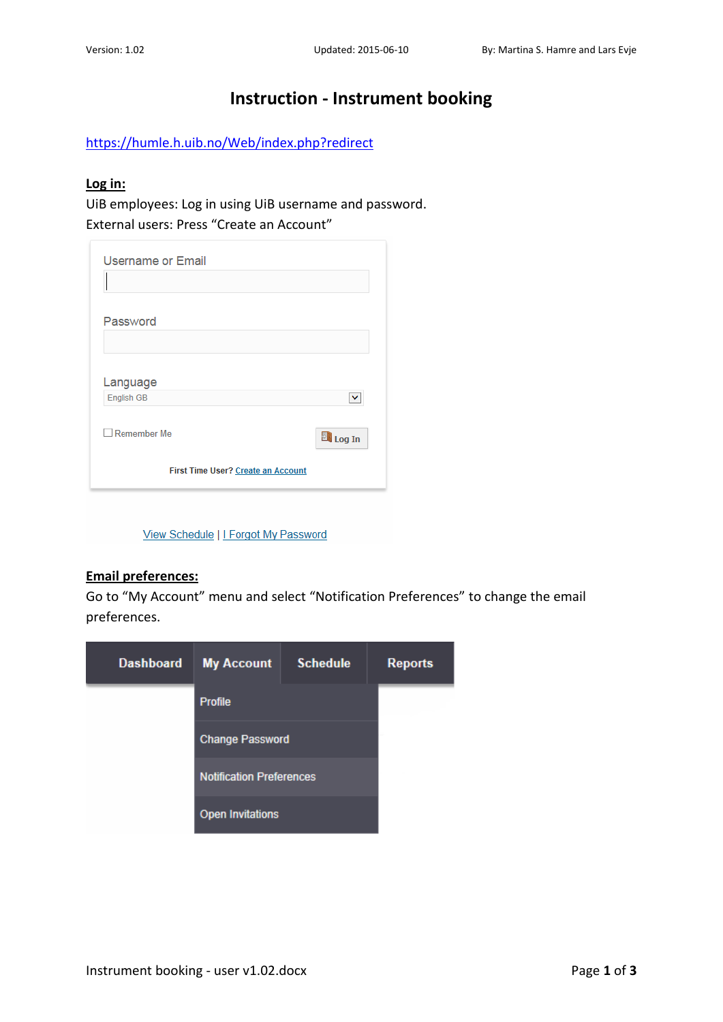# **Instruction - Instrument booking**

<https://humle.h.uib.no/Web/index.php?redirect>

## **Log in:**

UiB employees: Log in using UiB username and password. External users: Press "Create an Account"

| Password                           |               |
|------------------------------------|---------------|
| Language<br>English GB             |               |
| Remember Me                        | <b>Log In</b> |
| First Time User? Create an Account |               |

View Schedule | I Forgot My Password

#### **Email preferences:**

Go to "My Account" menu and select "Notification Preferences" to change the email preferences.

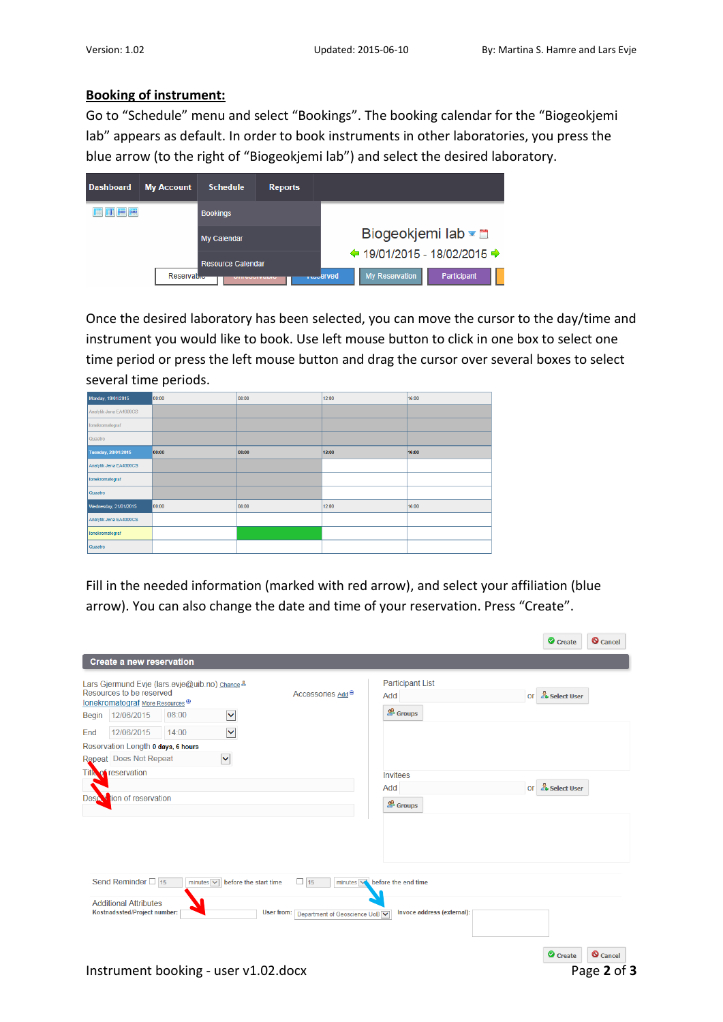#### **Booking of instrument:**

Go to "Schedule" menu and select "Bookings". The booking calendar for the "Biogeokjemi lab" appears as default. In order to book instruments in other laboratories, you press the blue arrow (to the right of "Biogeokjemi lab") and select the desired laboratory.

| <b>Dashboard</b> | <b>My Account</b>       | <b>Schedule</b>                                  | <b>Reports</b> |                                                                                              |
|------------------|-------------------------|--------------------------------------------------|----------------|----------------------------------------------------------------------------------------------|
| Ⅲ■■              |                         | <b>Bookings</b>                                  |                |                                                                                              |
|                  |                         | <b>My Calendar</b>                               |                | Biogeokjemi lab <del></del>                                                                  |
|                  | Reservat <sub>ive</sub> | <b>Resource Calendar</b><br><b>MINNANI YADIN</b> |                | $\div$ 19/01/2015 - 18/02/2015 →<br><b>My Reservation</b><br>Participant<br><b>Reduction</b> |

Once the desired laboratory has been selected, you can move the cursor to the day/time and instrument you would like to book. Use left mouse button to click in one box to select one time period or press the left mouse button and drag the cursor over several boxes to select several time periods.

| Monday, 19/01/2015     | 00:00 | 08:00 | 12:00 | 16:00 |
|------------------------|-------|-------|-------|-------|
| Analytik Jena EA4000CS |       |       |       |       |
| Ionekromatograf        |       |       |       |       |
| Quaatro                |       |       |       |       |
| Tuesday, 20/01/2015    | 00:00 | 08:00 | 12:00 | 16:00 |
| Analytik Jena EA4000CS |       |       |       |       |
| Ionekromatograf        |       |       |       |       |
| Quaatro                |       |       |       |       |
| Wednesday, 21/01/2015  | 00:00 | 08:00 | 12:00 | 16:00 |
| Analytik Jena EA4000CS |       |       |       |       |
| Ionekromatograf        |       |       |       |       |
| Quaatro                |       |       |       |       |

Fill in the needed information (marked with red arrow), and select your affiliation (blue arrow). You can also change the date and time of your reservation. Press "Create".

|       | Lars Gjermund Evje (lars.evje@uib.no) Change &<br>Resources to be reserved |       |                                      | Accessories Add <sup>®</sup>               | <b>Participant List</b><br>Add      | or & Select User |                                          |
|-------|----------------------------------------------------------------------------|-------|--------------------------------------|--------------------------------------------|-------------------------------------|------------------|------------------------------------------|
|       | Ionekromatograf More Resources ®                                           |       |                                      |                                            |                                     |                  |                                          |
| Begin | 12/06/2015                                                                 | 08:00 | $\blacktriangledown$                 |                                            | $\triangle$ Groups                  |                  |                                          |
| End   | 12/06/2015                                                                 | 14:00 | $\checkmark$                         |                                            |                                     |                  |                                          |
|       | Reservation Length 0 days, 6 hours                                         |       |                                      |                                            |                                     |                  |                                          |
|       | Repeat Does Not Repeat                                                     |       | $\checkmark$                         |                                            |                                     |                  |                                          |
|       | Title of reservation                                                       |       |                                      |                                            | Invitees                            |                  |                                          |
|       |                                                                            |       |                                      |                                            | Add                                 | or & Select User |                                          |
|       | Descovition of reservation                                                 |       |                                      |                                            | $\triangle$ Groups                  |                  |                                          |
|       |                                                                            |       |                                      |                                            |                                     |                  |                                          |
|       | Send Reminder $\Box$ 15<br><b>Additional Attributes</b>                    |       | minutes $\vee$ before the start time | $\Box$ 15                                  | minutes voltage before the end time |                  |                                          |
|       | Kostnadssted/Project number:                                               |       |                                      | User from:<br>Department of Geoscience UoB | Invoce address (external):          |                  |                                          |
|       |                                                                            |       | Instrument booking - user v1.02.docx |                                            |                                     |                  | <b>Q</b> Cancel<br>Create<br>Page 2 of 3 |